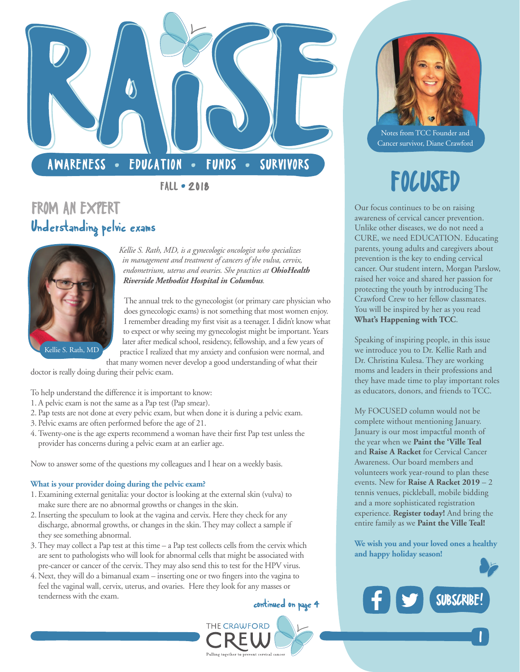

# FROM AN EXPERT Understanding pelvic exams



*Kellie S. Rath, MD, is a gynecologic oncologist who specializes in management and treatment of cancers of the vulva, cervix, endometrium, uterus and ovaries. She practices at [OhioHealth](https://www.ohiohealth.com/medical-education/residencies/obstetrics-gynecology-riverside-methodist/faculty-bios/?_t_id=1B2M2Y8AsgTpgAmY7PhCfg%253D%253D&_t_q=Kellie%2520Rath&_t_tags=language:en,siteid:62b4e9dc-b3e0-4193-b50f-d6d1bb3156c3&_t_ip=24.123.131.187&_t_hit.id=OhioHealth_Models_Pages_StandardPage%252F_1ab84947-76bc-425d-9ea3-88c288182366_en&_t_hit.pos=1)  [Riverside Methodist Hospital in Columbus](https://www.ohiohealth.com/medical-education/residencies/obstetrics-gynecology-riverside-methodist/faculty-bios/?_t_id=1B2M2Y8AsgTpgAmY7PhCfg%253D%253D&_t_q=Kellie%2520Rath&_t_tags=language:en,siteid:62b4e9dc-b3e0-4193-b50f-d6d1bb3156c3&_t_ip=24.123.131.187&_t_hit.id=OhioHealth_Models_Pages_StandardPage%252F_1ab84947-76bc-425d-9ea3-88c288182366_en&_t_hit.pos=1).* 

The annual trek to the gynecologist (or primary care physician who does gynecologic exams) is not something that most women enjoy. I remember dreading my first visit as a teenager. I didn't know what to expect or why seeing my gynecologist might be important. Years later after medical school, residency, fellowship, and a few years of practice I realized that my anxiety and confusion were normal, and

that many women never develop a good understanding of what their doctor is really doing during their pelvic exam.

- To help understand the difference it is important to know:
- 1. A pelvic exam is not the same as a Pap test (Pap smear).
- 2. Pap tests are not done at every pelvic exam, but when done it is during a pelvic exam.
- 3. Pelvic exams are often performed before the age of 21.
- 4. Twenty-one is the age experts recommend a woman have their first Pap test unless the provider has concerns during a pelvic exam at an earlier age.

Now to answer some of the questions my colleagues and I hear on a weekly basis.

#### **What is your provider doing during the pelvic exam?**

- 1. Examining external genitalia: your doctor is looking at the external skin (vulva) to make sure there are no abnormal growths or changes in the skin.
- 2. Inserting the speculum to look at the vagina and cervix. Here they check for any discharge, abnormal growths, or changes in the skin. They may collect a sample if they see something abnormal.
- 3. They may collect a Pap test at this time a Pap test collects cells from the cervix which are sent to pathologists who will look for abnormal cells that might be associated with pre-cancer or cancer of the cervix. They may also send this to test for the HPV virus.
- 4. Next, they will do a bimanual exam inserting one or two fingers into the vagina to feel the vaginal wall, cervix, uterus, and ovaries. Here they look for any masses or tenderness with the exam.

THE CRAWFORD



Notes from TCC Founder and Cancer survivor, Diane Crawford

Our focus continues to be on raising awareness of cervical cancer prevention. Unlike other diseases, we do not need a CURE, we need EDUCATION. Educating parents, young adults and caregivers about prevention is the key to ending cervical cancer. Our student intern, Morgan Parslow, raised her voice and shared her passion for protecting the youth by introducing The Crawford Crew to her fellow classmates. You will be inspired by her as you read **[What's Happening with TCC](#page-2-0)**.

Speaking of inspiring people, in this issue we introduce you to Dr. Kellie Rath and Dr. Christina Kulesa. They are working moms and leaders in their professions and they have made time to play important roles as educators, donors, and friends to TCC.

My FOCUSED column would not be complete without mentioning January. January is our most impactful month of the year when we **[Paint the 'Ville Teal](https://paintthevilleteal.org/)** and **[Raise A Racket](https://thecrawfordcrew.org/event/raise-a-racket/)** for Cervical Cancer Awareness. Our board members and volunteers work year-round to plan these events. New for **[Raise A Racket 2019](https://thecrawfordcrew.org/event/raise-a-racket/)** – 2 tennis venues, pickleball, mobile bidding and a more sophisticated registration experience. **[Register today!](https://thecrawfordcrew.org/event/raise-a-racket/)** And bring the entire family as we **[Paint the Ville Teal!](https://paintthevilleteal.org/)**

**We wish you and your loved ones a healthy and happy holiday season!**



|<br>|<br>|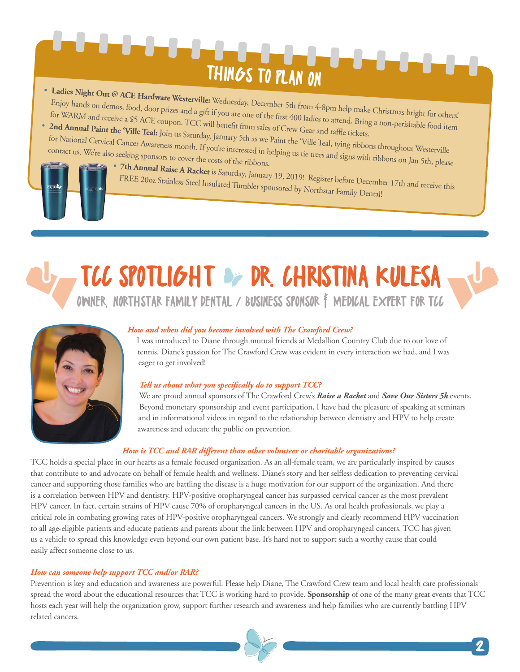# THINGS TO PLAN ON

- **Ladies Night Out @ ACE Hardware Westerville:** Enjoy hands on demos, food, door prizes and a gift if you are one of the first 400 ladies to attend. Bring a non-perishable food item Wednesday, December 5th from 4-8pm help make Christmas bright for others!<br>if you are one of the first 400 loding for WARM and r[eceive a \\$5 ACE c](https://paintthevilleteal.org/)oupon. TCC will benefit from sales of Crew Gear and raffle tickets.
- **2nd Annual Paint the 'Ville Teal:** Join us Saturday, January 5th as we Paint the 'Ville Teal, tying ribbons throughout Westerville<br>for National Cervical Cancer Awareness month. If you're interested in helping us time in for National Cervical Cancer Awareness month. If you're interested in helping us tie trees and signs with ribbons throughout Westerville<br>contact us. We're also seeking sponsors to cover the costs of the ribbons.



• **[7th Annual Raise A Racket](https://thecrawfordcrew.org/event/raise-a-racket/)** is Saturday, January 19, 2019! Register before December 17th and receive this FREE 20oz Stainless Steel Insulated Tumbler sponsored by Northstar Family Dental!

# TCC SPOTLIGHT OF DR. CHRISTINA KULESA OWNER, [NORTHSTAR FAMILY DENTAL](http://www.northstarfamilydental.com/) / BUSINESS SPONSOR F MEDICAL EXPERT FOR TCC



### *How and when did you become involved with The Crawford Crew?*

I was introduced to Diane through mutual friends at Medallion Country Club due to our love of tennis. Diane's passion for The Crawford Crew was evident in every interaction we had, and I was eager to get involved!

### *Tell us about what you specifically do to support TCC?*

We are proud annual sponsors of The Crawford Crew's *[Raise a Racket](https://thecrawfordcrew.org/event/raise-a-racket/)* and *[Save Our Sisters 5k](https://thecrawfordcrew.org/5k/)* events. Beyond monetary sponsorship and event participation, I have had the pleasure of speaking at seminars and in informational videos in regard to the relationship between dentistry and HPV to help create awareness and educate the public on prevention.

### *How is TCC and RAR different than other volunteer or charitable organizations?*

TCC holds a special place in our hearts as a female focused organization. As an all-female team, we are particularly inspired by causes that contribute to and advocate on behalf of female health and wellness. Diane's story and her selfless dedication to preventing cervical cancer and supporting those families who are battling the disease is a huge motivation for our support of the organization. And there is a correlation between HPV and dentistry. HPV-positive oropharyngeal cancer has surpassed cervical cancer as the most prevalent HPV cancer. In fact, certain strains of HPV cause 70% of oropharyngeal cancers in the US. As oral health professionals, we play a critical role in combating growing rates of HPV-positive oropharyngeal cancers. We strongly and clearly recommend HPV vaccination to all age-eligible patients and educate patients and parents about the link between HPV and oropharyngeal cancers. TCC has given us a vehicle to spread this knowledge even beyond our own patient base. It's hard not to support such a worthy cause that could easily affect someone close to us.

### *How can someone help support TCC and/or RAR?*

Prevention is key and education and awareness are powerful. Please help Diane, The Crawford Crew team and local health care professionals spread the word about the educational resources that TCC is working hard to provide. **[Sponsorship](https://thecrawfordcrew.org/about-cervical-cancer-prevention/join-us/)** of one of the many great events that TCC hosts each year will help the organization grow, support further research and awareness and help families who are currently battling HPV related cancers.

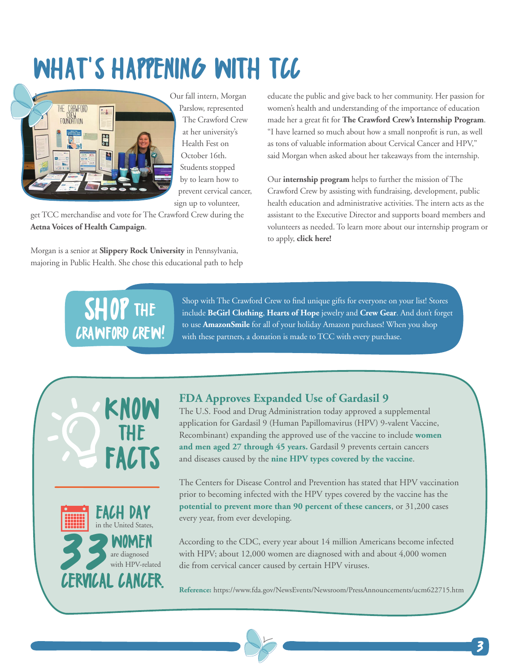# <span id="page-2-0"></span>WHAT'S HAPPENING WITH TCC



Our fall intern, Morgan Parslow, represented The Crawford Crew at her university's Health Fest on October 16th. Students stopped by to learn how to prevent cervical cancer, sign up to volunteer,

get TCC merchandise and vote for The Crawford Crew during the **[Aetna Voices of Health Campaign](http://www.aetnavoicesofhealth.com/2018/columbus/)**.

Morgan is a senior at **[Slippery Rock University](https://www.sru.edu/)** in Pennsylvania, majoring in Public Health. She chose this educational path to help educate the public and give back to her community. Her passion for women's health and understanding of the importance of education made her a great fit for **[The Crawford Crew's Internship Program](https://thecrawfordcrew.org/about-cervical-cancer-prevention/join-us/)**. "I have learned so much about how a small nonprofit is run, as well as tons of valuable information about Cervical Cancer and HPV," said Morgan when asked about her takeaways from the internship.

Our **[internship program](https://thecrawfordcrew.org/about-cervical-cancer-prevention/join-us/)** helps to further the mission of The Crawford Crew by assisting with fundraising, development, public health education and administrative activities. The intern acts as the assistant to the Executive Director and supports board members and volunteers as needed. To learn more about our internship program or to apply, **[click here!](https://thecrawfordcrew.org/about-cervical-cancer-prevention/join-us/)**

# THE CRAWFORD CREW! SHOP

Shop with The Crawford Crew to find unique gifts for everyone on your list! Stores include **[BeGirl Clothing](https://www.begirlclothing.com/)**, **[Hearts of Hope](https://thecrawfordcrew.org/crew-gear/cervical-cancer-gifts/)** jewelry and **[Crew Gear](https://www.getspirit.com/corporate/corporate-wear/the-crawford-crew)**. And don't forget to use **[AmazonSmile](https://smile.amazon.com/gp/aw/ch/search/ref=smi_ge_sc_srch_sr?query=Crawford+Crew+Foundation&ie=UTF-8&orig=%252F)** for all of your holiday Amazon purchases! When you shop with these partners, a donation is made to TCC with every purchase.





### **FDA Approves Expanded Use of Gardasil 9**

The U.S. Food and Drug Administration today approved a supplemental application for Gardasil 9 (Human Papillomavirus (HPV) 9-valent Vaccine, Recombinant) expanding the approved use of the vaccine to include **women and men aged 27 through 45 years.** Gardasil 9 prevents certain cancers and diseases caused by the **nine HPV types covered by the vaccine**.

The Centers for Disease Control and Prevention has stated that HPV vaccination prior to becoming infected with the HPV types covered by the vaccine has the **potential to prevent more than 90 percent of these cancers**, or 31,200 cases every year, from ever developing.

According to the CDC, every year about 14 million Americans become infected with HPV; about 12,000 women are diagnosed with and about 4,000 women die from cervical cancer caused by certain HPV viruses.

**Reference:** <https://www.fda.gov/NewsEvents/Newsroom/PressAnnouncements/ucm622715.htm>

3